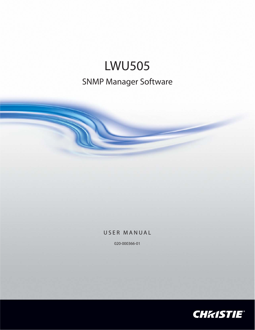# Manager Sot

SNMP Manager Software

020-000366-01

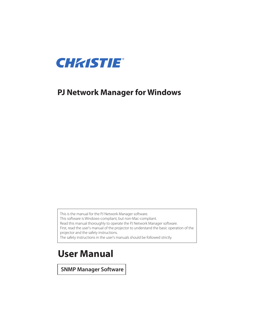

## **PJ Network Manager for Windows**

This is the manual for the PJ Network Manager software.

This software is Windows-compliant, but non-Mac-compliant.

Read this manual thoroughly to operate the PJ Network Manager software.

First, read the user's manual of the projector to understand the basic operation of the projector and the safety instructions.

The safety instructions in the user's manuals should be followed strictly.

## **User Manual**

**SNMP Manager Software**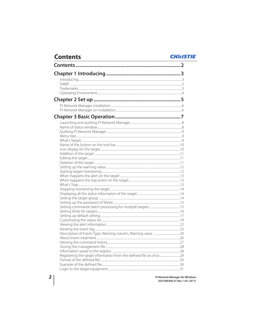| <b>Contents</b><br><u> 1989 - Johann Barn, amerikansk politiker (d. 1989)</u> | <b>CHKIS</b> |
|-------------------------------------------------------------------------------|--------------|
|                                                                               |              |
|                                                                               |              |
|                                                                               |              |
|                                                                               |              |
|                                                                               |              |
|                                                                               |              |
|                                                                               |              |
|                                                                               |              |
|                                                                               |              |
|                                                                               |              |
|                                                                               |              |
|                                                                               |              |
|                                                                               |              |
|                                                                               |              |
|                                                                               |              |
|                                                                               |              |
|                                                                               |              |
|                                                                               |              |
|                                                                               |              |
|                                                                               |              |
|                                                                               |              |
|                                                                               |              |
|                                                                               |              |
|                                                                               |              |
|                                                                               |              |
|                                                                               |              |
|                                                                               |              |
|                                                                               |              |
|                                                                               |              |
|                                                                               |              |
|                                                                               |              |
|                                                                               |              |
|                                                                               |              |
|                                                                               |              |
|                                                                               |              |
|                                                                               |              |
|                                                                               |              |
|                                                                               |              |
|                                                                               |              |
|                                                                               |              |
|                                                                               |              |
|                                                                               |              |
|                                                                               |              |

PJ Network Manager for Windows<br>020-000366-01 Rev.1 (01-2011)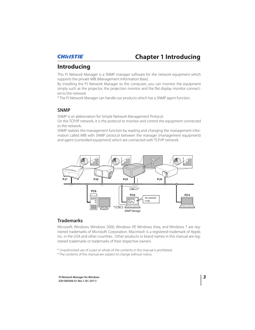

## **Chapter 1 Introducing**

## **Introducing**

This PJ Network Manager is a SNMP manager software for the network equipment which supports the private MIB (Management Information Base).

By installing the PJ Network Manager to the computer, you can monitor the equipment simply such as the projector, the projection monitor and the flat display monitor connected to the network.

\* The PJ Network Manager can handle our products which has a SNMP agent function.

## **SNMP**

SNMP is an abbreviation for Simple Network Management Protocol.

On the TCP/IP network, it is the protocol to monitor and control the equipment connected to the network.

SNMP realizes the management function by reading and changing the management information called MIB with SNMP protocol between the manager (management equipment) and agent (controlled equipment) which are connected with TCP/IP network.



## **Trademarks**

Microsoft, Windows, Windows 2000, Windows XP, Windows Vista, and Windows 7 are registered trademarks of Microsoft Corporation. Macintosh is a registered trademark of Apple, Inc. in the USA and other countries. Other products or brand names in this manual are registered trademarks or trademarks of their respective owners.

\* Unauthorized use of a part or whole of the contents in this manual is prohibited. \* The contents of this manual are subject to change without notice.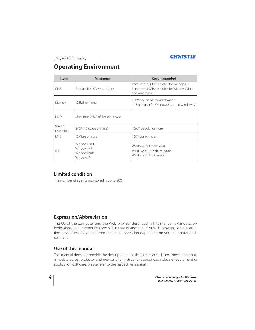Chapter 1 Introducing



## **Operating Environment**

| <b>Item</b>               | Minimum                                                  | Recommended                                                                                                |
|---------------------------|----------------------------------------------------------|------------------------------------------------------------------------------------------------------------|
| <b>CPU</b>                | Pentium III 400MHz or higher                             | Pentium 4 2.0GHz or higher for Windows XP<br>Pentium 4 3.0GHz or higher for Windows Vista<br>and Windows 7 |
| 128MB or higher<br>Memory |                                                          | 256MB or higher for Windows XP<br>1GB or higher for Windows Vista and Windows 7                            |
| <b>HDD</b>                | More than 20MB of free disk space                        |                                                                                                            |
| Screen<br>resolution      | SVGA (16 colors or more)                                 | XGA True color or more                                                                                     |
| I AN                      | 10Mbps or more                                           | 100Mbps or more                                                                                            |
| OS                        | Windows 2000<br>Windows XP<br>Windows Vista<br>Windows 7 | Windows XP Professional<br>Windows Vista (32bit version)<br>Windows 7 (32bit version)                      |

## **Limited condition**

The number of agents monitored is up to 200.

## **Expression/Abbreviation**

The OS of the computer and the Web browser described in this manual is Windows XP Professional and Internet Explorer 6.0. In case of another OS or Web browser, some instruction procedures may differ from the actual operation depending on your computer environment.

## **Use of this manual**

This manual does not provide the description of basic operation and functions for computer, web browser, projector and network. For instructions about each piece of equipment or application software, please refer to the respective manual.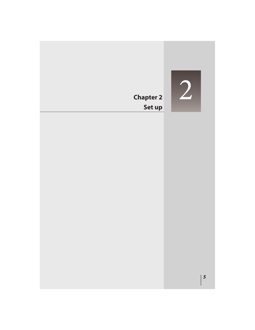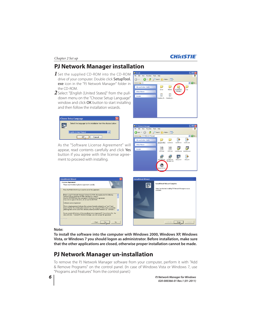## Chapter 2 Set up

## **PJ Network Manager installation**

- 1 Set the supplied CD-ROM into the CD-ROM drive of your computer. Double click SetupTool. exe icon in the "PJ Network Manager" folder in the CD-ROM.
- *2* Select "[English [United States]" from the pulldown menu on the "Choose Setup Language" window and click OK button to start installing and then follow the installation wizards.



As the "Software License Agreement" will appear, read contents carefully and click Yes button if you agree with the license agreement to proceed with installing.





| <b>InstallShield Wizard</b>                                                                                                                                                                                                                                                                                                                                                                                                                                                                                                                                                                                                                                                                                                                                                                                                                                                           | <b>InstallShield Wizard</b> |                                                                                           |
|---------------------------------------------------------------------------------------------------------------------------------------------------------------------------------------------------------------------------------------------------------------------------------------------------------------------------------------------------------------------------------------------------------------------------------------------------------------------------------------------------------------------------------------------------------------------------------------------------------------------------------------------------------------------------------------------------------------------------------------------------------------------------------------------------------------------------------------------------------------------------------------|-----------------------------|-------------------------------------------------------------------------------------------|
| <b>License Agreement</b><br>Flease read the following license agreement carefully.                                                                                                                                                                                                                                                                                                                                                                                                                                                                                                                                                                                                                                                                                                                                                                                                    | ₩                           | InstallShield Wizard Complete<br>Setup has finished installing PJ Network Manager on your |
| Press the PAGE DOWN key to see the rest of the agreement.<br>$\frac{1}{\sqrt{2}}$<br>Before using PJ Network Manager Software CD-ROM, thoroughly read the following<br>software license agreement to fully understand its contents.<br>Use this CD-ROM only when you agree to the terms of this agreement.<br>If you do not agree to the terms, do not use this CD-ROM.<br>Software License Agreement<br>This is a legal agreement between the customer (hereafter referred to as "user") and<br>Sanyo Electric. Co Ltd. (hereafter referred to as "our company"). Both parties accept the<br>following terms on the use of this software product (hereafter referred to as "software").<br>$\checkmark$<br>Do you accept all the terms of the preceding License Agreement? If you choose No. the<br>setup will close. To install PJ Network Manager, you must accept this agreement. |                             | computer.                                                                                 |
| InstallShield<br>No<br>< Back                                                                                                                                                                                                                                                                                                                                                                                                                                                                                                                                                                                                                                                                                                                                                                                                                                                         |                             | Cancel<br>< Back<br>Finisky                                                               |

## **Note:**

**To install the software into the computer with Windows 2000, Windows XP, Windows Vista, or Windows 7 you should logon as administrator. Before installation, make sure that the other applications are closed, otherwise proper installation cannot be made.**

## **PJ Network Manager un-installation**

To remove the PJ Network Manager software from your computer, perform it with "Add & Remove Programs" on the control panel. (In case of Windows Vista or Windows 7, use "Programs and Features" from the control panel.)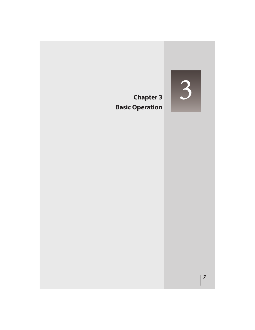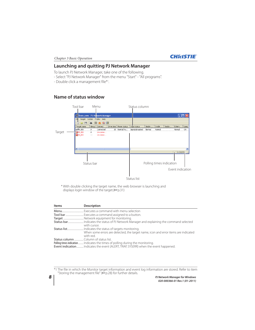## **CHRISTIE**

## **Launching and quitting PJ Network Manager**

To launch PJ Network Manager, take one of the following.

- Select "PJ Network Manager" from the menu "Start" - "All programs".

- Double click a management file\*<sup>1</sup>. .

## **Name of status window**



\* With double clicking the target name, the web browser is launching and displays login window of the target.(<sup>138</sup> p.31)

| Items | <b>Description</b>                                                                  |
|-------|-------------------------------------------------------------------------------------|
|       |                                                                                     |
|       |                                                                                     |
|       |                                                                                     |
|       |                                                                                     |
|       | with cursor.                                                                        |
|       |                                                                                     |
|       | When some errors are detected, the target name, icon and error items are indicated  |
|       | with red.                                                                           |
|       |                                                                                     |
|       | Polling times indication  Indicates the times of polling during the monitoring.     |
|       | Event indication Indicates the event (ALERT, TRAP, SYSERR) when the event happened. |

\*1 The file in which the Monitor target information and event log information are stored. Refer to item "Storing the management file" ( $\exp 28$ ) for further details.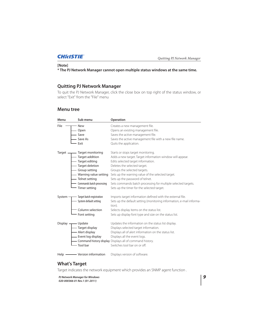## **[Note]**

**\* The PJ Network Manager cannot open multiple status windows at the same time.**

## **Quitting PJ Network Manager**

To quit the PJ Network Manager, click the close box on top right of the status window, or select "Exit" from the "File" menu

## **Menu tree**

| Menu                            | Sub menu                    | Operation                                                                      |
|---------------------------------|-----------------------------|--------------------------------------------------------------------------------|
| File                            | - New                       | Creates a new management file.                                                 |
|                                 | - Open                      | Opens an existing management file.                                             |
|                                 | Save                        | Saves the active management file.                                              |
|                                 | Save As                     | Saves the active management file with a new file name.                         |
|                                 | Exit                        | Quits the application.                                                         |
|                                 |                             | Starts or stops target monitoring.                                             |
|                                 | - Target addition           | Adds a new target. Target information window will appear.                      |
|                                 | - Target editing            | Edits selected target information.                                             |
|                                 | - Target deletion           | Deletes the selected target.                                                   |
|                                 | - Group setting             | Groups the selected targets.                                                   |
|                                 |                             | - Warning value setting Sets up the warning value of the selected target.      |
|                                 | - Telnet setting            | Sets up the password of telnet.                                                |
|                                 | - Commands batch processing | Sets commands batch processing for multiple selected targets.                  |
|                                 | - Timer setting             | Sets up the timer for the selected target.                                     |
| System -                        | - Target batch registration | Imports target information defined with the external file.                     |
|                                 | - System default setting    | Sets up the default setting (monitoring information, e-mail informa-<br>tion). |
|                                 | Column selection            | Selects display items on the status list.                                      |
|                                 | - Font setting              | Sets up display font type and size on the status list.                         |
| Display $\overline{\mathbf{u}}$ | — Update                    | Updates the information on the status list display.                            |
|                                 | — Target display            | Displays selected target information.                                          |
|                                 | — Alert display             | Displays all of alert information on the status list.                          |
|                                 | - Event log display         | Displays all the event logs.                                                   |
|                                 |                             | - Command history display Displays all of command history.                     |
|                                 | - Tool bar                  | Switches tool bar on or off.                                                   |
|                                 |                             | Displays version of software.                                                  |

## **What's Target**

Target indicates the network equipment which provides an SNMP agent function .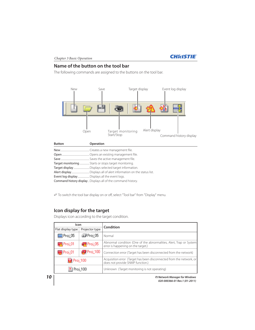

## **Name of the button on the tool bar**

The following commands are assigned to the buttons on the tool bar.



Save ................................................. Saves the active management file.

Target monitoring................. Starts or stops target monitoring.

Target display ........................... Displays selected target information.

Alert display............................... Displays all of alert information on the status list.

Event log display.................... Displays all the event logs.

Command history display .. Displays all of the command history.

To switch the tool bar display on or off, select "Tool bar" from "Display" menu.

## **Icon display for the target**

Displays icon according to the target condition.

| Icon                                       |  | <b>Condition</b>                                                                                           |
|--------------------------------------------|--|------------------------------------------------------------------------------------------------------------|
| Projector type<br>Flat display type        |  |                                                                                                            |
| toj 05<br>∥Proj_05                         |  | Normal                                                                                                     |
| $\blacksquare$ Proj_01<br><b>R</b> Proj_05 |  | Abnormal condition (One of the abnormalities, Alert, Trap or System)<br>error is happening on the target.) |
| $P_{\text{roj}}$ 100<br><b>D</b> Proj_01   |  | Connection error (Target has been disconnected from the network)                                           |
| Proj_100                                   |  | Acquisition error (Target has been disconnected from the network, or<br>does not provide SNMP function.)   |
| Proj_100                                   |  | Unknown (Target monitoring is not operating)                                                               |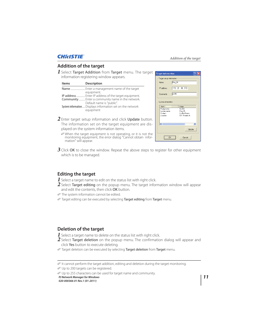## Addition of the target

## **Addition of the target**

*1* Select Target Addition from Target menu. The target information registering window appears.

| <b>Items</b> | <b>Description</b>                                                                                                                     |
|--------------|----------------------------------------------------------------------------------------------------------------------------------------|
|              | Enter a management name of the target<br>equipment.                                                                                    |
|              | IP address  Enter IP address of the target equipment.<br>Community Enter a community name in the network.<br>Default name is "public". |
|              | System information Displays information set on the network<br>equipment                                                                |



- *2* Enter target setup information and click Update button. The information set on the target equipment are displayed on the system information items.
	- When the target equipment is not operating, or it is not the monitoring equipment, the error dialog "Cannot obtain information" will appear.
- *3* Click OK to close the window. Repeat the above steps to register for other equipment which is to be managed.

## **Editing the target**

- *1* Select a target name to edit on the status list with right click.
- $\boldsymbol{2}$  Select **Target editing** on the popup menu. The target information window will appear and edit the contents, then click OK button.
- The system information cannot be edited.
- Target editing can be executed by selecting Target editing from Target menu.

## **Deletion of the target**

- *1* Select a target name to delete on the status list with right click.
- *2* Select Target deletion on the popup menu. The confirmation dialog will appear and click Yes button to execute deleting.
- Target deletion can be executed by selecting Target deletion from Target menu.

Up to 200 targets can be registered.

Up to 255 characters can be used for target name and community.

*PJ Network Manager for Windows 11*

It cannot perform the target addition, editing and deletion during the target monitoring.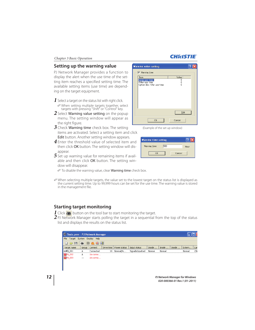## **Setting up the warning value**

PJ Network Manager provides a function to display the alert when the use time of the setting item reaches a specified setting time. The available setting items (use time) are depending on the target equipment.

- *1* Select a target on the status list with right click. When setting multiple targets together, select
	- targets with pressing "Shift" or "Control" key.
- *2* Select Warning value setting on the popup menu. The setting window will appear as the right figure.
- *3* Check Warning time check box. The setting items are activated. Select a setting item and click Edit button. Another setting window appears.
- *4* Enter the threshold value of selected item and then click OK button. The setting window will disappear.
- *5* Set up warning value for remaining items if available and then click OK button. The setting window will disappear.

To disable the warning value, clear Warning time check box.

 When selecting multiple targets, the value set to the lowest target on the status list is displayed as the current setting time. Up to 99,999 hours can be set for the use time. The warning value is stored in the management file.

## **Starting target monitoring**

**1** Click  $\bullet$  button on the tool bar to start monitoring the target.

2 PJ Network Manager starts polling the target in a sequential from the top of the status list and displays the results on the status list.



| <b>PJ Network Manager for Windows</b> |  |
|---------------------------------------|--|

## **Warning value setting**  $\sqrt{2}$ Varning time Them<br>Lamp use time<br>Filter use time<br>Option Box filter use time Value  $\frac{0}{0}$  $E$ dit

(Example of the set up window)

 $\overline{OK}$ 



Cancel

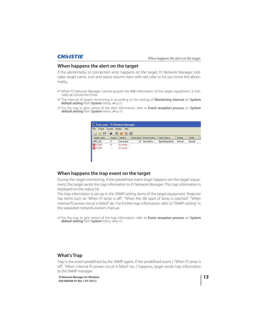## **When happens the alert on the target**

If the abnormality or connection error happens on the target, PJ Network Manager indicates target name, icon and status column item with red color to let you know the abnormality.

- When PJ Network Manager cannot acquire the MIB information of the target equipment, it indicates as Connection Error.
- The interval of target monitoring is according to the setting of Monitoring interval on System default setting from System menu. (Fig. 17)
- For the way to give notice of the alert information, refer to Event reception process on System default setting from System menu. (Fig. 17)



## **When happens the trap event on the target**

During the target monitoring, if the predefined event (trap) happens on the target equipment, the target sends the trap information to PJ Network Manager. This trap information is displayed on the status list.

The trap information is set up in the SNMP setting items of the target equipment. Projector has items such as "When PJ lamp is off", "When the life span of lamp is reached", "When internal PJ power circuit is failed" etc. For further trap information, refer to "SNMP setting" in the separated network owner's manual.

 For the way to give notice of the trap information, refer to Event reception process on System default setting from System menu. (Fig. 17)

## **What's Trap**

Trap is the event predefined by the SNMP agent. If the predefined event ( "When PJ lamp is off", "When internal PJ power circuit is failed" etc. ) happens, target sends trap information to the SNMP manager.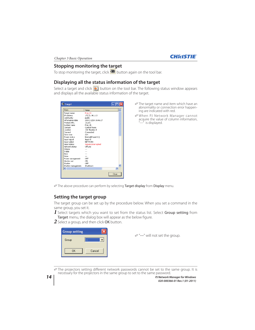

## **Stopping monitoring the target**

To stop monitoring the target, click  $\bullet$  button again on the tool bar.

## **Displaying all the status information of the target**

Select a target and click  $\blacklozenge$  button on the tool bar. The following status window appears and displays all the available status information of the target.

| <b>Target</b>      |                     |       |
|--------------------|---------------------|-------|
| Item               | Value               |       |
| Target name        | Proj 01             |       |
| IP address         | 172.21.96.113       |       |
| Community          | public              |       |
| Information date   | 2004/10/28 10:46:27 |       |
| Product info.      | 10.291              |       |
| System name        | Proi 05             |       |
| Contact            | Control Room        |       |
| Location           | 101 Theater A       |       |
| Connect            | Connected           |       |
| Drive time         | 214                 |       |
| Power status       | Normal(PowerOn)     |       |
| Input signal       | Input 5             |       |
| Input select       | <b>NETWORK</b>      |       |
| Input status       | SignalIsInterrupted |       |
| Network status     | OffI ine            |       |
| Volume             |                     |       |
| Treble             |                     |       |
| Bass               |                     |       |
| Mute               |                     |       |
| Power management   | OFF                 |       |
| Monitor out        | ON                  |       |
| Shutter            | OFF                 |       |
| Shutter management | ShutDown            |       |
| ℯ                  | <b>IIII</b>         | ×     |
|                    |                     | Close |

- The target name and item which have an abnormality or connection error happening are indicated with red.
- When PJ Network Manager cannot acquire the value of column information, "---" is displayed.

The above procedure can perform by selecting Target display from Display menu.

## **Setting the target group**

The target group can be set up by the procedure below. When you set a command in the same group, you set it.

- 1 Select targets which you want to set from the status list. Select Group setting from Target menu, the dialog box will appear as the below figure.
- 
- *2* Select a group, and then click OK button.

| <b>Group setting</b> |        |
|----------------------|--------|
| Group                |        |
| 0K                   | Cancel |

"---" will not set the group.

 The projectors setting different network passwords cannot be set to the same group. It is necessary for the projectors in the same group to set to the same password.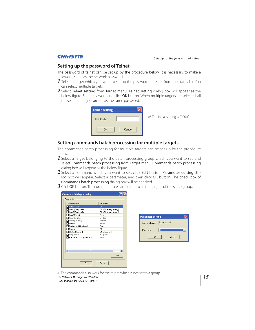## **Setting up the password of Telnet**

The password of telnet can be set up by the procedure below. It is necessary to make a password, same as the network password.

- *1* Select a target which you want to set up the password of telnet from the status list. You can select multiple targets.
- 2 Select Telnet setting from Target menu, Telnet setting dialog box will appear as the below figure. Set a password and click OK button. When multiple targets are selected, all the selected targets are set as the same password.

| <b>Telnet setting</b> |        |                                         |
|-----------------------|--------|-----------------------------------------|
| PIN Code              |        | <i>©</i> The initial setting is "0000". |
| 0K                    | Cancel |                                         |

## **Setting commands batch processing for multiple targets**

The commands batch processing for multiple targets can be set up by the procedure below.

- *1* Select a target belonging to the batch processing group which you want to set, and select Commands batch processing from Target menu. Commands batch processing dialog box will appear as the below figure.
- 2 Select a command which you want to set, click Edit button. Parameter editing dialog box will appear. Select a parameter, and then click OK button. The check box of Commands batch processing dialog box will be checked.
- **3** Click OK button. The commands are carried out to all the targets of the same group.

|                                    | <b>Commands batch processing</b> | 2                     |                          |                                  |
|------------------------------------|----------------------------------|-----------------------|--------------------------|----------------------------------|
| <b>Commands</b>                    |                                  |                       |                          |                                  |
|                                    | Command name                     | Parameter             |                          |                                  |
|                                    | Power control                    | 0N                    |                          |                                  |
|                                    | Input1(Computer1)                | RGB(PC analog,Analog) |                          |                                  |
|                                    | Input2(Computer2)                | RGB(PC analog,Analog) |                          |                                  |
|                                    | Input3(Video)                    | Auto.                 | <b>Parameter editing</b> |                                  |
|                                    | Input4(S-video)                  | S-video               |                          |                                  |
|                                    | Input5(Network)                  | Network               |                          |                                  |
| □ Screen                           |                                  | Nomal                 | Command name             | Power control                    |
|                                    | Background(Blue back)            | Blue                  |                          |                                  |
| Display                            |                                  | 0N                    | Parameter                | llon<br>$\overline{\phantom{a}}$ |
|                                    | Shutter(No show)                 | ON(Shutter on)        |                          |                                  |
|                                    | Lamp control                     | Auto[Auto1]           |                          |                                  |
|                                    | Fan speed control(Fan control)   | Normal                | 0K                       | Cancel                           |
|                                    |                                  |                       |                          |                                  |
|                                    |                                  |                       |                          |                                  |
|                                    |                                  |                       |                          |                                  |
| $\left\langle \cdot \right\rangle$ | TILL.                            | $\rightarrow$         |                          |                                  |
|                                    |                                  |                       |                          |                                  |
|                                    |                                  | Edit                  |                          |                                  |
|                                    | <b>OK</b>                        | Cancel                |                          |                                  |

*PJ Network Manager for Windows 15* The commands also work for the target which is not set to a group.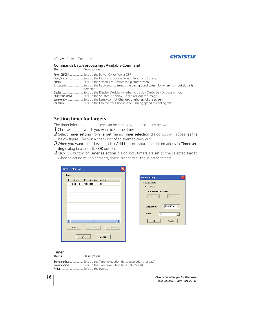

| <b>Items</b> | <b>Commands batch processing: Available Command</b><br><b>Description</b> |
|--------------|---------------------------------------------------------------------------|
|              |                                                                           |
|              |                                                                           |
|              |                                                                           |
|              | detected.                                                                 |
|              |                                                                           |
|              | Shutter(No show) Sets up the Shutter (No show). Sets black out the image. |
|              |                                                                           |
|              |                                                                           |

## **Setting timer for targets**

The timer information for targets can be set up by the procedure below.

- *1* Choose a target which you want to set the timer.
- 2 Select Timer setting from Target menu. Timer selection dialog box will appear as the below figure. Check in a check box of an event to carry out.
- $3$  When you want to add events, click Add button. Input timer informations in Timer setting dialog box, and click OK button.
- 4 Click OK button of Timer selection dialog box, timers are set to the selected target. When selecting multiple targets, timers are set to all the selected targets.

| <b>Timer selection</b> |                |        |  |  |  |  |  |
|------------------------|----------------|--------|--|--|--|--|--|
| Timer                  |                |        |  |  |  |  |  |
| Execution d            | Execution time | Action |  |  |  |  |  |
| $\square$ MON-FRI      | 10:00:00       | ON     |  |  |  |  |  |
|                        |                |        |  |  |  |  |  |
|                        |                |        |  |  |  |  |  |
|                        |                |        |  |  |  |  |  |
|                        |                |        |  |  |  |  |  |
|                        |                |        |  |  |  |  |  |
|                        |                |        |  |  |  |  |  |
|                        |                |        |  |  |  |  |  |
|                        |                |        |  |  |  |  |  |
|                        | $\mathbf{m}$   |        |  |  |  |  |  |
|                        |                |        |  |  |  |  |  |
| Add                    | Edit           | Delete |  |  |  |  |  |
|                        |                |        |  |  |  |  |  |
| <b>OK</b><br>Cancel    |                |        |  |  |  |  |  |
|                        |                |        |  |  |  |  |  |



## **Timer**

| <b>Items</b> | Description |
|--------------|-------------|
|              |             |
|              |             |
| Action       |             |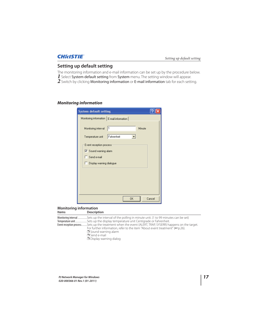## **Setting up default setting**

The monitoring information and e-mail information can be set up by the procedure below. *1* Select System default setting from System menu. The setting window will appear.

*2* Switch by clicking Monitoring information or E-mail information tab for each setting.

## *Monitoring information*

| <b>System default setting</b>                 |            |        |        |
|-----------------------------------------------|------------|--------|--------|
| Monitoring information   E-mail information   |            |        |        |
| l1<br>Monitoring interval<br>Temperature unit | Fahrenheit | Minute |        |
| Event reception process                       |            |        |        |
| Ⅳ Sound warning alarm                         |            |        |        |
| Send e-mail                                   |            |        |        |
| Display warning dialogue                      |            |        |        |
|                                               |            |        |        |
|                                               |            |        |        |
|                                               |            |        |        |
|                                               |            |        |        |
|                                               | <b>OK</b>  |        | Cancel |

### **Monitoring information Items Description**

| nems | <b>Description</b>                                                                                       |
|------|----------------------------------------------------------------------------------------------------------|
|      | Monitoring interval Sets up the interval of the polling in minute unit. (1 to 99 minutes can be set)     |
|      |                                                                                                          |
|      | Event reception processSets up the treatment when the event (ALERT, TRAP, SYSERR) happens on the target. |
|      | For further information, refer to the item "About event treatment" ( $\mathbb{F}$ p.26).                 |
|      | $\Box$ Sound warning alarm                                                                               |
|      | $\Box$ Send e-mail                                                                                       |

Display warning dialog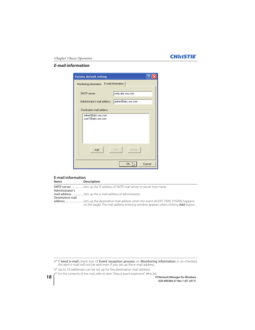## Chapter 3 Basic Operation *E-mail information*

| <b>System default setting</b>                                      |                                       |
|--------------------------------------------------------------------|---------------------------------------|
| Monitoring information                                             | E-mail information                    |
| SMTP server<br>Administrator's mail address                        | smtp.abc.xxx.com<br>admin@abc.xxx.com |
| Destination mail address<br>admin@abc.xxx.com<br>user1@abc.xxx.com |                                       |
| Add                                                                | Edit<br>Delete                        |
|                                                                    | Cancel<br>0K                          |

## **E-mail information Description**

|                  | <b>SMTP server</b> Sets up the IP address of SMTP mail server or server host name. |
|------------------|------------------------------------------------------------------------------------|
| Administrator's  |                                                                                    |
|                  |                                                                                    |
| Destination mail |                                                                                    |
|                  |                                                                                    |
|                  | on the target. The mail address entering window appears when clicking Add button.  |

**If Send e-mail** check box of **Event reception process** on **Monitoring information** is un-checked, the alert e-mail will not be sent even if you set up the e-mail address.

For the contents of the mail, refer to item "About event treatment" ( $\exp(26)$ .

Up to 10 addresses can be set up for the destination mail address.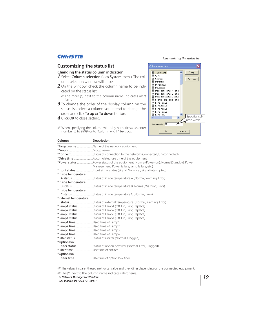## Customizing the status list

## **Customizing the status list**

## **Changing the status column indication**

- *1* Select Column selection from System menu. The column selection window will appear.
- *2* On the window, check the column name to be indicated on the status list.

 The mark [\*] next to the column name indicates alert item.

- **3** To change the order of the display column on the status list, select a column you intend to change the order and click To up or To down button.
- *4* Click OK to close setting.

**Column Description**



When specifying the column width by numeric value, enter number (0 to 9999) onto "Column width" text box.

|                               | <b>DESCRIPTION</b>                                      |
|-------------------------------|---------------------------------------------------------|
|                               | *Target nameName of the network equipment               |
|                               |                                                         |
|                               |                                                         |
|                               |                                                         |
|                               |                                                         |
|                               | Management, Power failure, lamp failure, etc.)          |
|                               |                                                         |
| *Inside Temperature           |                                                         |
|                               |                                                         |
| *Inside Temperature           |                                                         |
|                               |                                                         |
| *Inside Temperature           |                                                         |
|                               |                                                         |
| *External Temperature         |                                                         |
|                               |                                                         |
|                               | *Lamp1 status Status of Lamp1 (Off, On, Error, Replace) |
|                               |                                                         |
|                               |                                                         |
|                               | *Lamp4 status Status of Lamp4 (Off, On, Error, Replace) |
| *Lamp1 timeUsed time of Lamp1 |                                                         |
| *Lamp2 timeUsed time of Lamp2 |                                                         |
| *Lamp3 timeUsed time of Lamp3 |                                                         |
|                               |                                                         |
|                               |                                                         |
| *Option Box                   |                                                         |
|                               |                                                         |
|                               |                                                         |
| *Option Box                   |                                                         |
|                               |                                                         |
|                               |                                                         |

The values in parentheses are typical value and they differ depending on the connected equipment.

*PJ Network Manager for Windows 19*

The [\*] next to the column name indicates alert items.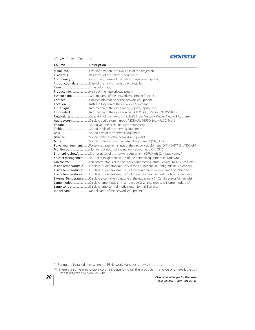## **CHRISTIE**®

| Column | <b>Description</b>                                                                                |
|--------|---------------------------------------------------------------------------------------------------|
|        |                                                                                                   |
|        |                                                                                                   |
|        |                                                                                                   |
|        | Introduction date*1Date of the network equipment installed                                        |
|        |                                                                                                   |
|        | Product infoName of the network equipment                                                         |
|        |                                                                                                   |
|        |                                                                                                   |
|        |                                                                                                   |
|        |                                                                                                   |
|        |                                                                                                   |
|        |                                                                                                   |
|        | Audio systemDisplays audio system mode (NORMAL, PERSONAL, MUSIC, TALK)                            |
|        |                                                                                                   |
|        |                                                                                                   |
|        |                                                                                                   |
|        |                                                                                                   |
|        |                                                                                                   |
|        | Power managementPower management status of the network equipment (OFF, READY, SHUTDOWN)           |
|        |                                                                                                   |
|        | Shutter(No show)Shutter status of the network equipment (OFF, High-Contrast, Normal)              |
|        | <b>Shutter management</b> Shutter management status of the network equipment (Shutdown)           |
|        |                                                                                                   |
|        | Inside Temperature ADisplays inside temperature A of the equipment (in Centigrade or Fahrenheit)  |
|        | Inside Temperature B Displays inside temperature B of the equipment (in Centigrade or Fahrenheit) |
|        | Inside Temperature CDisplays inside temperature C of the equipment (in Centigrade or Fahrenheit)  |
|        | External Temperature Displays external temperature of the equipment (in Centigrade or Fahrenheit) |
|        | Lamp modeDisplays lamp mode (1: 1-lamp mode, 2: 2-lamp mode, 4: 4-lamp mode, etc.)                |
|        | Lamp controlDisplays lamp control mode (Auto, Normal, Eco, etc.)                                  |
|        |                                                                                                   |

\*1 Set up the installed date when the PJ Network Manager is newly introduced.

There are some un-available columns depending on the products. The value of un-available col-umn is displayed in blank or with "---".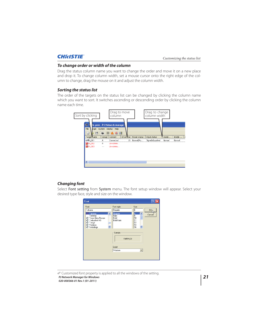## *To change order or width of the column*

Drag the status column name you want to change the order and move it on a new place and drop it. To change column width, set a mouse cursor onto the right edge of the column to change, drag the mouse on it and adjust the column width.

## *Sorting the status list*

The order of the targets on the status list can be changed by clicking the column name which you want to sort. It switches ascending or descending order by clicking the column name each time.



## *Changing font*

Select Font setting from System menu. The font setup window will appear. Select your desired type face, style and size on the window.

| Font                                                                                                                               |                                                 |                                                                       |                 |
|------------------------------------------------------------------------------------------------------------------------------------|-------------------------------------------------|-----------------------------------------------------------------------|-----------------|
| Font:                                                                                                                              | Font style:                                     | Size:                                                                 |                 |
| Tahoma                                                                                                                             | Regular                                         | 8                                                                     | OK <sub>I</sub> |
| Tahoma<br>$\overline{\phantom{a}}$<br>Terminal<br>Times New Roman<br>Trebuchet MS<br>Tunga<br>Verdana<br>$\boldsymbol{O}$ Webdings | Regular<br>Italic<br>Bold<br><b>Bold Italic</b> | 8<br>9<br>$\overline{\phantom{a}}$<br>≣<br>10<br>11<br>12<br>14<br>16 | Cancel          |
|                                                                                                                                    | Sample<br>AaBbYyZz<br>Script:                   |                                                                       |                 |
|                                                                                                                                    | Western                                         | $\blacktriangledown$                                                  |                 |
|                                                                                                                                    |                                                 |                                                                       |                 |

*PJ Network Manager for Windows 21 020-000366-01 Rev.1 (01-2011)* Customized font property is applied to all the windows of the setting.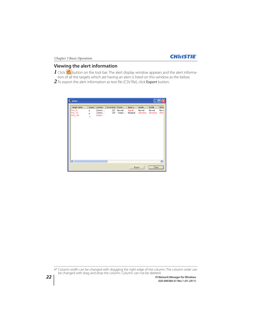

## **Viewing the alert information**

 $1$  Click  $\mathfrak A$  button on the tool bar. The alert display window appears and the alert information of all the targets which are having an alert is listed on this window as the below.

2 To export the alert information as text file (CSV file), click **Export** button.

| Alert                          |                            |                             |            |                  |                     |                    | H                  |                       |
|--------------------------------|----------------------------|-----------------------------|------------|------------------|---------------------|--------------------|--------------------|-----------------------|
| Target name                    | Group                      | Connect                     | Drive time | Power            | Input s             | Inside             | Inside             | Insid                 |
| Proj_01<br>Proj_10<br>Proj_105 | A<br>A<br>$-$              | Connec<br>Connec<br>Acquisi | 212<br>234 | Normal<br>Temper | SignalI<br>NoSignal | Normal<br>Abnormal | Normal<br>Abnormal | Norm<br>Abno          |
| $\left\  \cdot \right\ $       | $\mathop{\rm Im}\nolimits$ |                             |            |                  |                     |                    |                    | $\blacktriangleright$ |
|                                |                            |                             |            |                  | Export              |                    | Close              |                       |

*22 PJ Network Manager for Windows* Column width can be changed with dragging the right edge of the column. The column order can be changed with drag and drop the column. Column can not be deleted.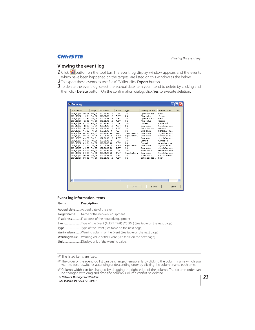## **Viewing the event log**

- 1 Click  $\bigotimes$  button on the tool bar. The event log display window appears and the events which have been happened on the targets are listed on this window as the below.
- 2 To export these events as text file (CSV file), click **Export** button.
- $3$  To delete the event log, select the accrual date item you intend to delete by clicking and then click Delete button. On the confirmation dialog, click Yes to execute deletion.

| Event log                    |       |               |              |                |                  |                       |
|------------------------------|-------|---------------|--------------|----------------|------------------|-----------------------|
| Accrual date                 | Targe | IP address    | Event        | Type           | Warning column   | Unit<br>Warning value |
| 2004/10/29 14:46:24 Proj_10  |       | 172.21.96.112 | ALERT        | ON             | Option Box filte | Error                 |
| 2004/10/29 14:46:24 Proj 10  |       | 172.21.96.112 | ALERT        | ON             | Filter status    | Clogged               |
| 2004/10/29 14:22:59 Proi 10  |       | 172.21.96.112 | ALERT        | ON             | Option Box filte | Error                 |
| 2004/10/29 14:22:59 Proi 10  |       | 172.21.96.112 | <b>ALERT</b> | ON             | Filter status    | Clogged               |
| 2004/10/29 14:22:58 Proj 10  |       | 172.21.96.112 | ALERT        | OFF            | Connect          | Connected             |
| 2004/10/29 14:22:58 Proj 01  |       | 172.21.96.113 | ALERT        | ON             | Input status     | SignalIsInterru       |
| 2004/10/29 14:05:58 Proj 10  |       | 172.21.96.112 | ALERT        | ON             | Inside Tempera   | Ahnormal              |
| 2004/10/29 13:47:58 Proj 05  |       | 172.21.93.58  | ALERT        | ON             | Input status     | SignalIsInterru       |
| 2004/10/29 13:47:12 Proi 05  |       | 172.21.93.58  | TRAP         | SignalIsInterr | Input status     | SignalIsInterru       |
| 2004/10/29 13:44:21 Proj 05  |       | 172.21.93.58  | TRAP         | SignalIsInterr | Input status     | SignalIsInterru       |
| 2004/10/29 13:26:57 Proj 01  |       | 172.21.96.113 | ALERT        | ON             | Input status     | SignalIsInterru       |
| 2004/10/29 13:16:58 Proi 05  |       | 172.21.93.58  | ALERT        | OFF            | Connect          | Connected             |
| 2004/10/29 13:16:04 Proi 05  |       | 172.21.93.58  | <b>ALERT</b> | ON             | Connect          | Acquisition error     |
| 2004/10/29 13:11:43 Proj 05  |       | 172.21.93.58  | TRAP         | SignalIsInterr | Input status     | SignalIsInterru       |
| 2004/10/29 13:10:58 Proj 05  |       | 172.21.93.58  | ALERT        | ON             | Input status     | SignalIsInterru       |
| 2004/10/29 13:10:58 Proj 05  |       | 172.21.93.58  | ALERT        | OFF            | Power status     | Normal(PowerOn)       |
| 2004/10/29 13:10:00 Proj 05  |       | 172.21.93.58  | TRAP         | SignalIsInterr | Input status     | SignalIsInterru       |
| 2004/10/29 13:09:58 Proj 05  |       | 172.21.93.58  | ALERT        | ON             | Power status     | RS-232CFailure        |
| 2004/10/29 12:38:58 Proj 10  |       | 172.21.96.112 | ALERT        | ON             | Option Box filte | Error                 |
|                              |       |               |              |                |                  |                       |
| $\left\langle \right\rangle$ |       |               | TITLE        |                |                  | $\rightarrow$         |
|                              |       |               |              | Delete         | Export           | Close                 |

## **Event log information items**

| <b>Items</b>                                                           | <b>Description</b>                                                      |  |  |  |  |
|------------------------------------------------------------------------|-------------------------------------------------------------------------|--|--|--|--|
|                                                                        | <b>Accrual date</b> Accrual date of the event                           |  |  |  |  |
|                                                                        | Target name Name of the network equipment                               |  |  |  |  |
|                                                                        | IP address IP address of the network equipment                          |  |  |  |  |
|                                                                        |                                                                         |  |  |  |  |
|                                                                        |                                                                         |  |  |  |  |
|                                                                        | Warning column Warning column of the Event (See table on the next page) |  |  |  |  |
| Warning value  Warning value of the Event (See table on the next page) |                                                                         |  |  |  |  |
|                                                                        |                                                                         |  |  |  |  |
|                                                                        |                                                                         |  |  |  |  |

The listed items are fixed.

The order of the event log list can be changed temporarily by clicking the column name which you want to sort. It switches ascending or descending order by clicking the column name each time.

*PJ Network Manager for Windows 23* Column width can be changed by dragging the right edge of the column. The column order can be changed with drag and drop the column. Column cannot be deleted.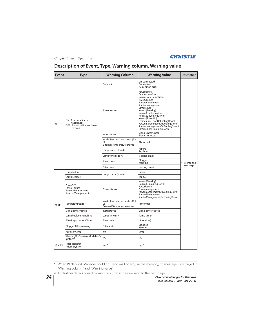

## **Description of Event, Type, Warning column, Warning value**

| <b>Event</b>  | Type                                                                    | <b>Warning Column</b>                                                       | <b>Warning Value</b>                                                                                                                                                                                                                                                                                                                                                     | <b>Description</b> |  |
|---------------|-------------------------------------------------------------------------|-----------------------------------------------------------------------------|--------------------------------------------------------------------------------------------------------------------------------------------------------------------------------------------------------------------------------------------------------------------------------------------------------------------------------------------------------------------------|--------------------|--|
|               |                                                                         | Connect                                                                     | Un-connected<br>Connected<br>Acquisition error                                                                                                                                                                                                                                                                                                                           |                    |  |
| <b>ALERT</b>  | ON: Abnormality has<br>happened<br>OFF: Abnormality has been<br>cleared | Power status                                                                | PowerFailure<br>TemperatureError<br>Normal (AfterTempError)<br>RS232CFailure<br>Power management<br>Shutter management<br>LampFailure<br>Normal(Standby)<br>Normal(OnStartingUp)<br>Normal(OnCoolingDown)<br>Normal(PowerOn)<br>TemperatureError(OnCoolingDown)<br>Power management (On Cooling Down)<br>Shutter management(OnCoolingDown)<br>LampFailure(OnCoolingDown) |                    |  |
|               |                                                                         | Input status                                                                | SignalsInterrupted<br>SignalsInputted                                                                                                                                                                                                                                                                                                                                    |                    |  |
|               |                                                                         | Inside Temperature status (A to<br>C)<br>External Temperature status        | Abnormal                                                                                                                                                                                                                                                                                                                                                                 |                    |  |
|               |                                                                         | Lamp status (1 to 4)                                                        | Failure<br>Replace                                                                                                                                                                                                                                                                                                                                                       |                    |  |
|               |                                                                         | Lamp time (1 to 4)                                                          | (setting time)                                                                                                                                                                                                                                                                                                                                                           |                    |  |
|               |                                                                         | <b>Filter status</b>                                                        | Clogged<br>Warning                                                                                                                                                                                                                                                                                                                                                       | * Refer to the     |  |
|               |                                                                         | Filter time                                                                 | (setting time)                                                                                                                                                                                                                                                                                                                                                           | next page          |  |
|               | LampFailure                                                             |                                                                             | Failure                                                                                                                                                                                                                                                                                                                                                                  |                    |  |
|               | LampReplace                                                             | Lamp status (1 to 4)                                                        | Replace                                                                                                                                                                                                                                                                                                                                                                  |                    |  |
| <b>TRAP</b>   | PowerOFF<br>PowreFailure<br>PowerManagement<br>ShutterManagement        | Power status                                                                | Normal(Standby)<br>Normal(OnCoolingDown)<br>PowerFailure<br>Power management<br>Power management(OnCoolingDown)<br>ShutterManagement<br>ShutterManagement(OnCoolingDown)                                                                                                                                                                                                 |                    |  |
|               | TemperatureError                                                        | Inside Temperature status (A to<br>C)<br><b>External Temperature status</b> | Abnormal                                                                                                                                                                                                                                                                                                                                                                 |                    |  |
|               | SignallsInterrupted                                                     | Input status                                                                | SignallsInterrupted                                                                                                                                                                                                                                                                                                                                                      |                    |  |
|               | LampReplacementTime                                                     | Lamp time (1-4)                                                             | (lamp time)                                                                                                                                                                                                                                                                                                                                                              |                    |  |
|               | FilterReplacementTime                                                   | Filter time                                                                 | (filter time)                                                                                                                                                                                                                                                                                                                                                            |                    |  |
|               | CloggedFilterWarning                                                    | Filter status                                                               | Clogged<br>Warning                                                                                                                                                                                                                                                                                                                                                       |                    |  |
|               | AutoPlayError                                                           | n/a                                                                         | Error                                                                                                                                                                                                                                                                                                                                                                    |                    |  |
|               | WarningOnConstantModeForBr<br>iahtness                                  | n/a                                                                         | n/a                                                                                                                                                                                                                                                                                                                                                                      |                    |  |
| <b>SYSERR</b> | *Mail Transfer<br>*MemoryError                                          | $n/a *1$                                                                    | $n/a$ <sup>*</sup>                                                                                                                                                                                                                                                                                                                                                       |                    |  |

\*1 When PJ Network Manager could not send mail or acquire the memory, no message is displayed in "Warning column" and "Warning value".

For further details of each warning column and value, refer to the next page.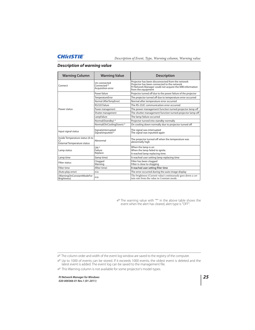## *Description of warning value*

| <b>Warning Column</b>                                                       | <b>Warning Value</b>                                        | <b>Description</b>                                                                                                                                                                |  |
|-----------------------------------------------------------------------------|-------------------------------------------------------------|-----------------------------------------------------------------------------------------------------------------------------------------------------------------------------------|--|
| Connect                                                                     | Un-connected<br>Connected <sup>*</sup><br>Acquisition error | Projector has been disconnected from the network<br>Projector has been connected to the network<br>PJ Network Manager could not acquire the MIB information<br>from the equipment |  |
|                                                                             | Power failure                                               | Projector turned off due to the power failure of the projector                                                                                                                    |  |
|                                                                             | TemperatureError                                            | The projector turned off due to temperature error occurred                                                                                                                        |  |
|                                                                             | Normal (AfterTempError)                                     | Normal after temperature error occurred                                                                                                                                           |  |
|                                                                             | RS232CFailure                                               | The RS-232C communication error occurred                                                                                                                                          |  |
| Power status                                                                | Power management                                            | The power management function turned projector lamp off                                                                                                                           |  |
|                                                                             | Shutter management                                          | The shutter management function turned projector lamp off                                                                                                                         |  |
|                                                                             | LampFailure                                                 | The lamp failure occurred                                                                                                                                                         |  |
|                                                                             | Normal(Standby) *                                           | Projector turned into standby normally                                                                                                                                            |  |
|                                                                             | Normal(OnCoolingDown)*                                      | On cooling down normally due to projector turned off                                                                                                                              |  |
| Input signal status                                                         | SignalsInterrupted<br>SignalsInputted *                     | The signal was interrupted<br>The signal was inputted again                                                                                                                       |  |
| Inside Temperature status (A to<br>C)<br><b>External Temperature status</b> | Ahnormal                                                    | The projector turned off when the temperature was<br>abnormally high                                                                                                              |  |
| Lamp status                                                                 | ON <sup>*</sup><br>Failure<br>Replace                       | When the lamp is on<br>When the lamp failed to ignite.<br>It reached lamp replacing time.                                                                                         |  |
| Lamp time                                                                   | (lamp time)                                                 | It reached user setting lamp replacing time                                                                                                                                       |  |
| <b>Filter status</b>                                                        | Clogged<br>Warning                                          | Filter has been clogged<br>Filter is close to clogging                                                                                                                            |  |
| Filter time                                                                 | (filter time)                                               | It reached user setting filter time                                                                                                                                               |  |
| (Auto play error)                                                           | n/a                                                         | The error occurred during the auto image display                                                                                                                                  |  |
| (WarningOnConstantModeFor<br>Brightness)                                    | n/a                                                         | The brightness (Current value) continuously goes down a cer-<br>tain rate from the value in Constant mode.                                                                        |  |

The warning value with "\*" in the above table shows the event when the alert has cleared, alert type is "OFF".

This Warning column is not available for some projector's model types.

The column order and width of the event log window are saved to the registry of the computer.

Up to 1000 of events can be stored. If it exceeds 1000 events, the oldest event is deleted and the latest event is added. The event log can be saved to the management file.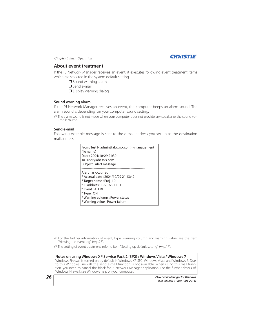

## **About event treatment**

If the PJ Network Manager receives an event, it executes following event treatment items which are selected in the system default setting.

 $\Box$  Sound warning alarm

P Send e-mail

 $\Box$  Display warning dialog

## **Sound warning alarm**

If the PJ Network Manager receives an event, the computer beeps an alarm sound. The alarm sound is depending on your computer sound setting.

 The alarm sound is not made when your computer does not provide any speaker or the sound volume is muted.

## **Send e-mail**

Following example message is sent to the e-mail address you set up as the destination mail address.

| From: Test1 <admin@abc.xxx.com> (management<br/>file name)<br/>Date: 2004/10/29 21:30<br/>To:user@abc.xxx.com<br/>Subject : Alert message</admin@abc.xxx.com>                                                                  |
|--------------------------------------------------------------------------------------------------------------------------------------------------------------------------------------------------------------------------------|
| Alert has occurred<br>* Accrual date: 2004/10/29 21:13:42<br>* Target name : Proj 10<br>* IP address : 192.168.1.101<br>* Fvent : AI FRT<br>$*$ Type : ON<br>* Warning column: Power status<br>* Warning value : Power failure |

For the further information of event, type, warning column and warning value, see the item "Viewing the event log" ( $\mathbb{F}$ p.23).

The setting of event treatment, refer to item "Setting up default setting" (<a>p.17).

**Notes on using Windows XP Service Pack 2 (SP2) / Windows Vista / Windows 7** Windows Firewall is turned on by default in Windows XP SP2, Windows Vista, and Windows 7. Due to this Windows Firewall, the send e-mail function is not available. When using this mail function, you need to cancel the block for PJ Network Manager application. For the further details of Windows Firewall, see Windows help on your computer.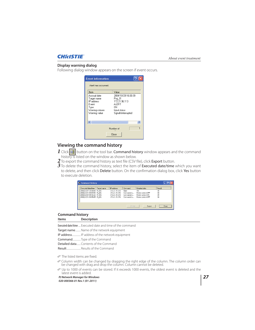## **Display warning dialog**

Following dialog window appears on the screen if event occurs.

| <b>Event information</b>                                                                      |                                                                                                       |  |
|-----------------------------------------------------------------------------------------------|-------------------------------------------------------------------------------------------------------|--|
| Alert has occurred.                                                                           |                                                                                                       |  |
| Item                                                                                          | Value                                                                                                 |  |
| Accrual date<br>Target name<br>IP address<br>Fvent<br>Type<br>Warning column<br>Warning value | 2004/10/29 16:00:39<br>Proj 01<br>172.21.96.113<br>ALERT<br>ΠN<br>Input status<br>SignallsInterrupted |  |
|                                                                                               | TITL                                                                                                  |  |
| Number of                                                                                     |                                                                                                       |  |
|                                                                                               | Close                                                                                                 |  |

## **Viewing the command history**

**1** Click **button on the tool bar. Command history** window appears and the command history is listed on the window as shown below.

- 2 To export the command history as text file (CSV file), click Export button.
- $3$  To delete the command history, select the item of Executed date/time which you want to delete, and then click Delete button. On the confirmation dialog box, click Yes button to execute deletion.

| Executed date/time         | Target name | IP address    | Command    | Detailed data     | Result |
|----------------------------|-------------|---------------|------------|-------------------|--------|
| 2008/12/24 10:00:00 Pj 001 |             | 172.21.99.251 | Timer      | ON                | OK     |
| 2008/12/24 09:57:53 Pi 001 |             | 172.21.99.251 | Commands h | Power control:OFF | OK     |
| 2008/12/24 09:56:22 Pj_001 |             | 172.21.99.251 | Commands b | Power control:ON  | OK     |
| 2008/12/24 09:55:05 Pi_001 |             | 172.21.99.251 | Commands b | Power control:OFF | OK     |
|                            |             |               |            |                   |        |
|                            |             |               |            |                   |        |

## **Command history Items Description**

Executed date/time.... Executed date and time of the command

Target name......... Name of the network equipment

IP address............... IP address of the network equipment

Command.............. Type of the Command

Detailed data....... Contents of the Command

Result........................ Results of the Command

The listed items are fixed.

 $\mathscr O$  Column width can be changed by dragging the right edge of the column. The column order can be changed with drag and drop the column. Column cannot be deleted.

Up to 1000 of events can be stored. If it exceeds 1000 events, the oldest event is deleted and the latest event is added.

*PJ Network Manager for Windows 27*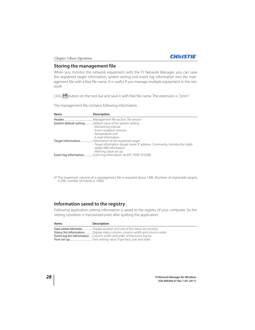

## **Storing the management file**

When you monitor the network equipment with the PJ Network Manager, you can save the registered target information, system setting and event log information into the management file with a free file name. It is useful if you manage multiple equipment in the network.

Click  $\Box$  button on the tool bar and save it with free file name. The extension is ".pnm".

The management file contains following information.

| <b>Items</b> | <b>Description</b>                                                                                                                 |
|--------------|------------------------------------------------------------------------------------------------------------------------------------|
|              |                                                                                                                                    |
|              | System default settingDefault value of the system setting                                                                          |
|              | - Monitoring interval                                                                                                              |
|              | - Event reception process                                                                                                          |
|              | - Temperature unit                                                                                                                 |
|              | - E-mail information                                                                                                               |
|              |                                                                                                                                    |
|              | - Target information (target name, IP address, Community, Introduction date)<br>- target MIB information<br>- Warning value set up |
|              | Event log information Event log information (ALERT, TRAP, SYSERR)                                                                  |

The maximum volume of a management file is required about 1MB. (Number of registrable targets is 200, number of events is 1000)

## **Information saved to the registry**

Following application setting information is saved to the registry of your computer. So the setting condition is memorized even after quitting the application.

| Items | <b>Description</b>                                                            |
|-------|-------------------------------------------------------------------------------|
|       | Status window informationDisplay position and size of the status list window  |
|       | Status list information  Display status column, column width and column order |
|       | Event log list information Column width and order of the event log list       |
|       |                                                                               |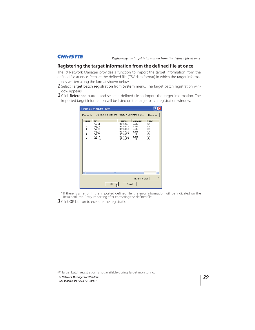Registering the target information from the defined file at once

## **Registering the target information from the defined file at once**

The PJ Network Manager provides a function to import the target information from the defined file at once. Prepare the defined file (CSV data format) in which the target information is written along the format shown below.

- 1 Select Target batch registration from System menu. The target batch registration window appears.
- 2 Click Reference button and select a defined file to import the target information. The imported target information will be listed on the target batch registration window.

| <b>Target batch registoration</b>                      |                                                                         |    |                                                                                                       |                                                                    |                                        |
|--------------------------------------------------------|-------------------------------------------------------------------------|----|-------------------------------------------------------------------------------------------------------|--------------------------------------------------------------------|----------------------------------------|
| Defined file                                           |                                                                         |    | C:\Documents and Settings\staff\My Documents\IFDE\                                                    |                                                                    | Reference                              |
| Number                                                 | Name                                                                    |    | IP address                                                                                            | Community                                                          | Result                                 |
| 1<br>$\begin{array}{c} 2 \\ 3 \\ 4 \end{array}$<br>567 | Proj 01<br>Proj_02<br>Proj_03<br>Proj_04<br>Proj 05<br>PDP 01<br>FPD_10 |    | 192.168.0.1<br>192.168.0.2<br>192.168.0.3<br>192.168.0.6<br>192.168.0.7<br>192.168.0.8<br>192.168.0.9 | public<br>public<br>public<br>public<br>public<br>public<br>public | OK<br>0K<br>OK<br>OK<br>OK<br>OK<br>OK |
|                                                        |                                                                         |    |                                                                                                       |                                                                    |                                        |
| $\left  \mathbf{c} \right $                            |                                                                         | m  |                                                                                                       |                                                                    | $\rightarrow$                          |
|                                                        |                                                                         |    |                                                                                                       | Number of error                                                    | O                                      |
|                                                        |                                                                         | OK | Cancel                                                                                                |                                                                    |                                        |

\* If there is an error in the imported defined file, the error information will be indicated on the Result column. Retry importing after correcting the defined file.

*3* Click OK button to execute the registration.

*PJ Network Manager for Windows 29*

Target batch registration is not available during Target monitoring.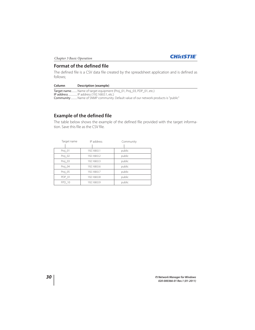

## **Format of the defined file**

The defined file is a CSV data file created by the spreadsheet application and is defined as follows;

| Column | Description (example)                                                               |
|--------|-------------------------------------------------------------------------------------|
|        | Target name Name of target equipment (Proj_01, Proj_03, PDP_01, etc.)               |
|        | <b>IP address</b> IP address (192.168.0.1, etc.)                                    |
|        | Community Name of SNMP community. Default value of our network products is "public" |

## **Example of the defined file**

The table below shows the example of the defined file provided with the target information. Save this file as the CSV file.

| Target name | IP address  | Community |
|-------------|-------------|-----------|
|             |             |           |
| Proj_01     | 192.168.0.1 | public    |
| Proj_02     | 192.168.0.2 | public    |
| Proj_03     | 192.168.0.3 | public    |
| Proj 04     | 192.168.0.6 | public    |
| Proj_05     | 192.168.0.7 | public    |
| PDP 01      | 192.168.0.8 | public    |
| FPD 10      | 192.168.0.9 | public    |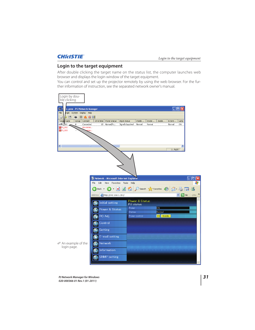## **Login to the target equipment**

After double clicking the target name on the status list, the computer launches web browser and displays the login window of the target equipment.

You can control and set up the projector remotely by using the web browser. For the further information of instruction, see the separated network owner's manual.

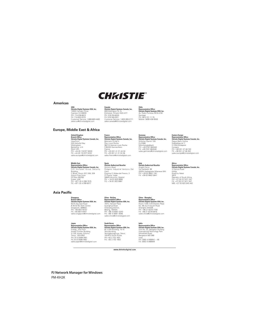

### **Americas**

**USA Christie Digital Systems USA, Inc.** 10550 Camden Drive Cypress CA 90630 PH: 714-236-8610 FX: 714-503-3375 Customer Service: 1-866-880-4462 sales-us@christiedigital.com **Canada<br>Christie Digital Systems Canada, Inc.<br>809 Wellington St. N.<br>Kitchener, Ontario N2G 4Y7<br>PH: 519-749-3321<br>FX: 519-749-3321** Customer Service: 1-800-265-2171 sales-canada@christiedigital.com **Chile<br><b>Christie Digital Systems USA, Inc.**<br>Av. Pedro Fontova 7619 of 60<br>Santiago<br>PH: 56-2-721 11 75<br>Mobile: 5699 436 6555

## **Europe, Middle East & Africa**

United Kingdom<br>**Branch Office<br>Schrift Constant Office**<br>ViewPoint<br>ViewPoint<br>Wokingham<br>Berkshire, U.K.<br>Richant Office U.K.<br>Richant Office Prince Prince Prince Prince Prince Prince Prince Prince Prince Prince Prince Prince Pr

Middle East<br>
Middle East<br>
Christei Digital Systems Canada, Inc.<br>
Christei Digital Systems Canada, Inc.<br>
Christeins Christeins Christein<br>
Building,<br>
Aliport Free Zone<br>
PO Box 233782<br>
PO Box 233782<br>
Pubai, UAE<br>
PH: +971 (0)

## **France<br><b>Representative Office**<br>**Christie Digital Systems Canada, Inc.**<br>Bâtiment D-Hall 4<br>Parc Louis Roche<br>96/114 Avenue Louis Roche<br><del>59</del>2230 Gennevilliers<br>France PH: +33 (0)1 41 21 44 04 FX: +33 (0)1 41 21 00 36 sales-france@christiedigital.com

**Spain<br>Christie Authorized Reseller**<br>Antonio Abad<br>Polígono Industrial Ventorro Del<br>Cano<br>Esquina C/ Aldea del Fresno, 3<br>3ª Puerta. Izqda

28925 Alcorcón, Madrid PH: + 34 91 633 9990 FX: + 34 91 633 9991

D-41066 Mönchengladbach PH: +49 2161 664540 FX: +49 2161 664546 sales-germany@christiedigital.com

**Italy Christie Authorized Reseller** Angelo Tacca Via Garibaldi, 88 20024 Garbagnate Milanese (MI) PH: +39 02 9902 1161 FX: +39 02 9902 2641

## **Eastern Europe<br><b>Representative Office**<br>**Christie Digital Systems Canada, Inc.**<br>Regus Bank Centre<br>Szabadsag ter 7.<br>H-1054 Budapest Hungary PH: +36 (0)1 47 48 100 FX: +36 (0)1 47 48 452 sales-europe@christiedigital.com

**Africa<br>Representative Office<br>Christie Digital Systems Canada, Inc.<br>4 Patricia Road<br>Gillitts<br>KwaZulu Natal<br>3610** 

Republic of South Africa PH: +27 (0) 317 671 347 FX: +27 (0) 317 671 347 MB: +27 (0) 823 045 442

## **Asia Pacific**

**Singapore Branch Office<br>Christie Digital Systems USA, Inc.**<br>627A Aljunied Road<br># 05-02 Biz Tech Centre<br>Singapore, 389842<br>PH: +65 6877-8747<br>FX: +65 6877-8747 sales-singapore@christiedigital.com

**Japan<br>Representative Office<br>Christie Digital Systems USA, Inc.**<br>A-hidg., 2nd Floor<br>Ariake Frontier Building<br>A-hidg., 2nd Foot-ku<br>T-hidg., 20063<br>PH: 81-3-3599-7481<br>PH: 81-3-3599-7481<br>Sales-japan@christiedigital.com

**China - Beijing Representative Office Christie Digital Systems USA, Inc.** 7B15, Hanwei Plaza Guanghua Road Chaoyang District, Beijing, 100004 PH: +86 10 6561 0240 FX: +86 10 6561 0546 sales-china@christiedigital.com

# **South Korea<br><b>Christie Digital Systems USA, Inc.**<br>6F, ILSIN Building, 15-15<br>Yeouido-dong,<br>Yeongdeungpo-gu, Seoul,<br>150-872 South Korea<br>PH:+82 2 702 1602<br>FX: +82 2 702 1602

China - Shanghai<br>Representative Office<br>Christie Digital Systems USA, Inc.<br>Room 1109–1116 Shartex Plaza<br>No. 88 Zun Yi South Road<br>Shanghai 200336<br>PH: +86 21 6278 7708<br>Sales-china@christiedigital.com

**India<br>Consequent Consequence**<br>**Christie Digital Systems USA, Inc.<br>Unit No. 03, Navigator Building<br>International Technology Park<br>Whitefield Road<br>Banglaror 566 066<br>Phila<br>PH: (080) 41468941 - 48<br>PH: (080) 41468941 - 48<br>PH: (** 

www.christiedigital.com

**PJ Network Manager for Windows** PM-KH2K

## **Germany Representative Office Christie Digital Systems Canada, Inc.** Willicher Damm 129